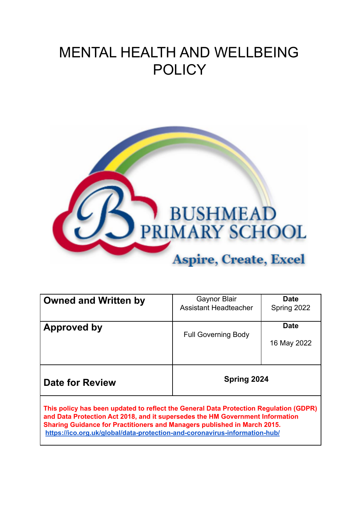# MENTAL HEALTH AND WELLBEING **POLICY**



| <b>Owned and Written by</b>                                                                                                                                                                                                                        | Gaynor Blair<br><b>Assistant Headteacher</b> | <b>Date</b><br>Spring 2022 |  |  |  |
|----------------------------------------------------------------------------------------------------------------------------------------------------------------------------------------------------------------------------------------------------|----------------------------------------------|----------------------------|--|--|--|
| Approved by                                                                                                                                                                                                                                        | <b>Full Governing Body</b>                   | <b>Date</b><br>16 May 2022 |  |  |  |
| <b>Date for Review</b>                                                                                                                                                                                                                             | Spring 2024                                  |                            |  |  |  |
| This policy has been updated to reflect the General Data Protection Regulation (GDPR)<br>and Data Protection Act 2018, and it supersedes the HM Government Information<br>Sharing Guidance for Practitioners and Managers published in March 2015. |                                              |                            |  |  |  |

**<https://ico.org.uk/global/data-protection-and-coronavirus-information-hub/>**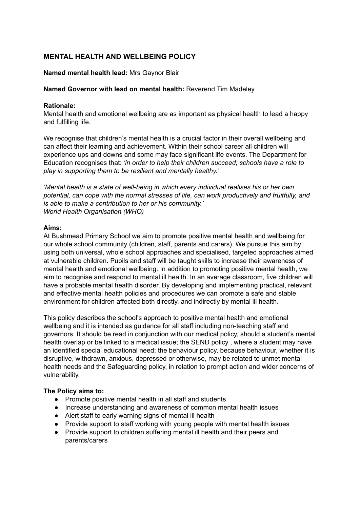# **MENTAL HEALTH AND WELLBEING POLICY**

## **Named mental health lead:** Mrs Gaynor Blair

## **Named Governor with lead on mental health:** Reverend Tim Madeley

## **Rationale:**

Mental health and emotional wellbeing are as important as physical health to lead a happy and fulfilling life.

We recognise that children's mental health is a crucial factor in their overall wellbeing and can affect their learning and achievement. Within their school career all children will experience ups and downs and some may face significant life events. The Department for Education recognises that: *'in order to help their children succeed; schools have a role to play in supporting them to be resilient and mentally healthy.'*

*'Mental health is a state of well-being in which every individual realises his or her own potential, can cope with the normal stresses of life, can work productively and fruitfully, and is able to make a contribution to her or his community.' World Health Organisation (WHO)*

#### **Aims:**

At Bushmead Primary School we aim to promote positive mental health and wellbeing for our whole school community (children, staff, parents and carers). We pursue this aim by using both universal, whole school approaches and specialised, targeted approaches aimed at vulnerable children. Pupils and staff will be taught skills to increase their awareness of mental health and emotional wellbeing. In addition to promoting positive mental health, we aim to recognise and respond to mental ill health. In an average classroom, five children will have a probable mental health disorder. By developing and implementing practical, relevant and effective mental health policies and procedures we can promote a safe and stable environment for children affected both directly, and indirectly by mental ill health.

This policy describes the school's approach to positive mental health and emotional wellbeing and it is intended as guidance for all staff including non-teaching staff and governors. It should be read in conjunction with our medical policy, should a student's mental health overlap or be linked to a medical issue; the SEND policy , where a student may have an identified special educational need; the behaviour policy, because behaviour, whether it is disruptive, withdrawn, anxious, depressed or otherwise, may be related to unmet mental health needs and the Safeguarding policy, in relation to prompt action and wider concerns of vulnerability.

## **The Policy aims to:**

- Promote positive mental health in all staff and students
- Increase understanding and awareness of common mental health issues
- Alert staff to early warning signs of mental ill health
- Provide support to staff working with young people with mental health issues
- Provide support to children suffering mental ill health and their peers and parents/carers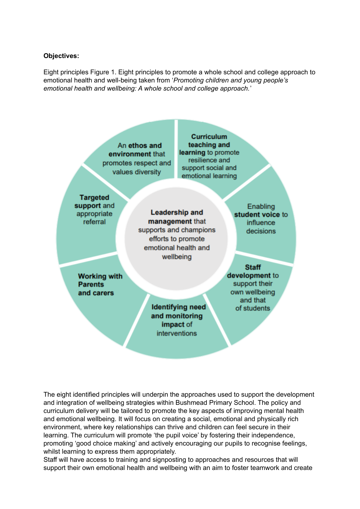#### **Objectives:**

Eight principles Figure 1. Eight principles to promote a whole school and college approach to emotional health and well-being taken from '*Promoting children and young people's emotional health and wellbeing: A whole school and college approach.*'



The eight identified principles will underpin the approaches used to support the development and integration of wellbeing strategies within Bushmead Primary School. The policy and curriculum delivery will be tailored to promote the key aspects of improving mental health and emotional wellbeing. It will focus on creating a social, emotional and physically rich environment, where key relationships can thrive and children can feel secure in their learning. The curriculum will promote 'the pupil voice' by fostering their independence, promoting 'good choice making' and actively encouraging our pupils to recognise feelings, whilst learning to express them appropriately.

Staff will have access to training and signposting to approaches and resources that will support their own emotional health and wellbeing with an aim to foster teamwork and create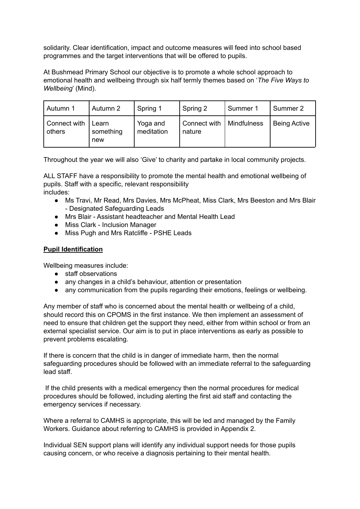solidarity. Clear identification, impact and outcome measures will feed into school based programmes and the target interventions that will be offered to pupils.

At Bushmead Primary School our objective is to promote a whole school approach to emotional health and wellbeing through six half termly themes based on '*The Five Ways to Wellbeing*' (Mind).

| Autumn 1               | Autumn 2                  | Spring 1               | Spring 2               | Summer 1    | Summer 2            |
|------------------------|---------------------------|------------------------|------------------------|-------------|---------------------|
| Connect with<br>others | Learn<br>something<br>new | Yoga and<br>meditation | Connect with<br>nature | Mindfulness | <b>Being Active</b> |

Throughout the year we will also 'Give' to charity and partake in local community projects.

ALL STAFF have a responsibility to promote the mental health and emotional wellbeing of pupils. Staff with a specific, relevant responsibility includes:

- Ms Travi, Mr Read, Mrs Davies, Mrs McPheat, Miss Clark, Mrs Beeston and Mrs Blair - Designated Safeguarding Leads
- Mrs Blair Assistant headteacher and Mental Health Lead
- Miss Clark Inclusion Manager
- Miss Pugh and Mrs Ratcliffe PSHE Leads

# **Pupil Identification**

Wellbeing measures include:

- staff observations
- any changes in a child's behaviour, attention or presentation
- any communication from the pupils regarding their emotions, feelings or wellbeing.

Any member of staff who is concerned about the mental health or wellbeing of a child, should record this on CPOMS in the first instance. We then implement an assessment of need to ensure that children get the support they need, either from within school or from an external specialist service. Our aim is to put in place interventions as early as possible to prevent problems escalating.

If there is concern that the child is in danger of immediate harm, then the normal safeguarding procedures should be followed with an immediate referral to the safeguarding lead staff.

If the child presents with a medical emergency then the normal procedures for medical procedures should be followed, including alerting the first aid staff and contacting the emergency services if necessary.

Where a referral to CAMHS is appropriate, this will be led and managed by the Family Workers. Guidance about referring to CAMHS is provided in Appendix 2.

Individual SEN support plans will identify any individual support needs for those pupils causing concern, or who receive a diagnosis pertaining to their mental health.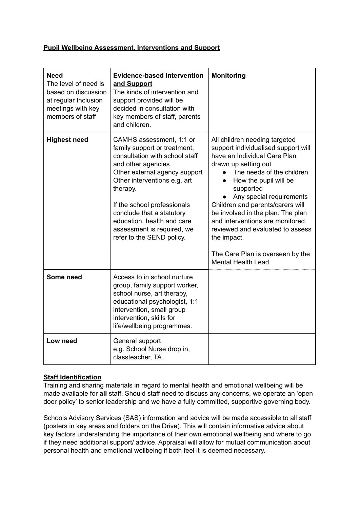## **Pupil Wellbeing Assessment, Interventions and Support**

| <b>Need</b><br>The level of need is<br>based on discussion<br>at regular Inclusion<br>meetings with key<br>members of staff | <b>Evidence-based Intervention</b><br>and Support<br>The kinds of intervention and<br>support provided will be<br>decided in consultation with<br>key members of staff, parents<br>and children.                                                                                                                                                   | <b>Monitoring</b>                                                                                                                                                                                                                                                                                                                                                                                                                                                   |
|-----------------------------------------------------------------------------------------------------------------------------|----------------------------------------------------------------------------------------------------------------------------------------------------------------------------------------------------------------------------------------------------------------------------------------------------------------------------------------------------|---------------------------------------------------------------------------------------------------------------------------------------------------------------------------------------------------------------------------------------------------------------------------------------------------------------------------------------------------------------------------------------------------------------------------------------------------------------------|
| <b>Highest need</b>                                                                                                         | CAMHS assessment, 1:1 or<br>family support or treatment,<br>consultation with school staff<br>and other agencies<br>Other external agency support<br>Other interventions e.g. art<br>therapy.<br>If the school professionals<br>conclude that a statutory<br>education, health and care<br>assessment is required, we<br>refer to the SEND policy. | All children needing targeted<br>support individualised support will<br>have an Individual Care Plan<br>drawn up setting out<br>The needs of the children<br>How the pupil will be<br>$\bullet$<br>supported<br>Any special requirements<br>Children and parents/carers will<br>be involved in the plan. The plan<br>and interventions are monitored,<br>reviewed and evaluated to assess<br>the impact.<br>The Care Plan is overseen by the<br>Mental Health Lead. |
| Some need                                                                                                                   | Access to in school nurture<br>group, family support worker,<br>school nurse, art therapy,<br>educational psychologist, 1:1<br>intervention, small group<br>intervention, skills for<br>life/wellbeing programmes.                                                                                                                                 |                                                                                                                                                                                                                                                                                                                                                                                                                                                                     |
| Low need                                                                                                                    | General support<br>e.g. School Nurse drop in,<br>classteacher, TA.                                                                                                                                                                                                                                                                                 |                                                                                                                                                                                                                                                                                                                                                                                                                                                                     |

# **Staff Identification**

Training and sharing materials in regard to mental health and emotional wellbeing will be made available for **all** staff. Should staff need to discuss any concerns, we operate an 'open door policy' to senior leadership and we have a fully committed, supportive governing body.

Schools Advisory Services (SAS) information and advice will be made accessible to all staff (posters in key areas and folders on the Drive). This will contain informative advice about key factors understanding the importance of their own emotional wellbeing and where to go if they need additional support/ advice. Appraisal will allow for mutual communication about personal health and emotional wellbeing if both feel it is deemed necessary.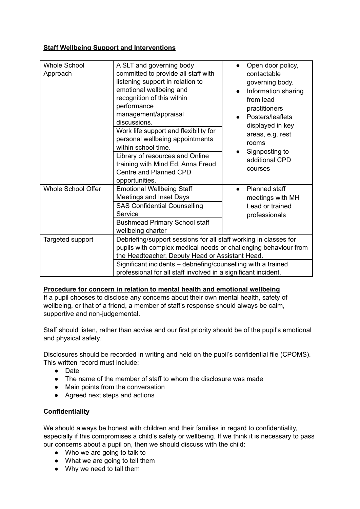# **Staff Wellbeing Support and Interventions**

| <b>Whole School</b><br>Approach | A SLT and governing body<br>committed to provide all staff with<br>listening support in relation to<br>emotional wellbeing and<br>recognition of this within<br>performance<br>management/appraisal<br>discussions.<br>Work life support and flexibility for<br>personal wellbeing appointments<br>within school time.<br>Library of resources and Online<br>training with Mind Ed, Anna Freud<br>Centre and Planned CPD<br>opportunities. | Open door policy,<br>$\bullet$<br>contactable<br>governing body.<br>Information sharing<br>from lead<br>practitioners<br>Posters/leaflets<br>displayed in key<br>areas, e.g. rest<br>rooms<br>Signposting to<br>additional CPD<br>courses |
|---------------------------------|--------------------------------------------------------------------------------------------------------------------------------------------------------------------------------------------------------------------------------------------------------------------------------------------------------------------------------------------------------------------------------------------------------------------------------------------|-------------------------------------------------------------------------------------------------------------------------------------------------------------------------------------------------------------------------------------------|
| Whole School Offer              | <b>Emotional Wellbeing Staff</b><br>Meetings and Inset Days<br><b>SAS Confidential Counselling</b><br>Service<br><b>Bushmead Primary School staff</b><br>wellbeing charter                                                                                                                                                                                                                                                                 | Planned staff<br>$\bullet$<br>meetings with MH<br>Lead or trained<br>professionals                                                                                                                                                        |
| Targeted support                | Debriefing/support sessions for all staff working in classes for<br>pupils with complex medical needs or challenging behaviour from<br>the Headteacher, Deputy Head or Assistant Head.                                                                                                                                                                                                                                                     |                                                                                                                                                                                                                                           |
|                                 | Significant incidents - debriefing/counselling with a trained<br>professional for all staff involved in a significant incident.                                                                                                                                                                                                                                                                                                            |                                                                                                                                                                                                                                           |

# **Procedure for concern in relation to mental health and emotional wellbeing**

If a pupil chooses to disclose any concerns about their own mental health, safety of wellbeing, or that of a friend, a member of staff's response should always be calm, supportive and non-judgemental.

Staff should listen, rather than advise and our first priority should be of the pupil's emotional and physical safety.

Disclosures should be recorded in writing and held on the pupil's confidential file (CPOMS). This written record must include:

- Date
- The name of the member of staff to whom the disclosure was made
- Main points from the conversation
- Agreed next steps and actions

# **Confidentiality**

We should always be honest with children and their families in regard to confidentiality, especially if this compromises a child's safety or wellbeing. If we think it is necessary to pass our concerns about a pupil on, then we should discuss with the child:

- Who we are going to talk to
- What we are going to tell them
- Why we need to tall them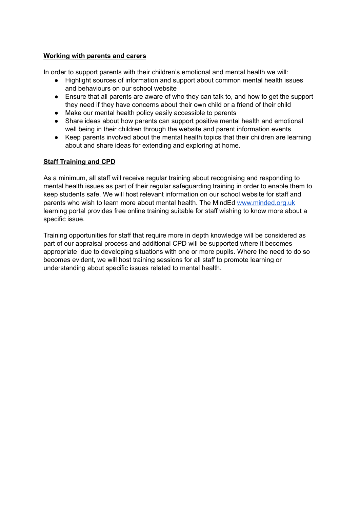## **Working with parents and carers**

In order to support parents with their children's emotional and mental health we will:

- Highlight sources of information and support about common mental health issues and behaviours on our school website
- Ensure that all parents are aware of who they can talk to, and how to get the support they need if they have concerns about their own child or a friend of their child
- Make our mental health policy easily accessible to parents
- Share ideas about how parents can support positive mental health and emotional well being in their children through the website and parent information events
- Keep parents involved about the mental health topics that their children are learning about and share ideas for extending and exploring at home.

# **Staff Training and CPD**

As a minimum, all staff will receive regular training about recognising and responding to mental health issues as part of their regular safeguarding training in order to enable them to keep students safe. We will host relevant information on our school website for staff and parents who wish to learn more about mental health. The MindEd [www.minded.org.uk](http://www.monded.org.uk) learning portal provides free online training suitable for staff wishing to know more about a specific issue.

Training opportunities for staff that require more in depth knowledge will be considered as part of our appraisal process and additional CPD will be supported where it becomes appropriate due to developing situations with one or more pupils. Where the need to do so becomes evident, we will host training sessions for all staff to promote learning or understanding about specific issues related to mental health.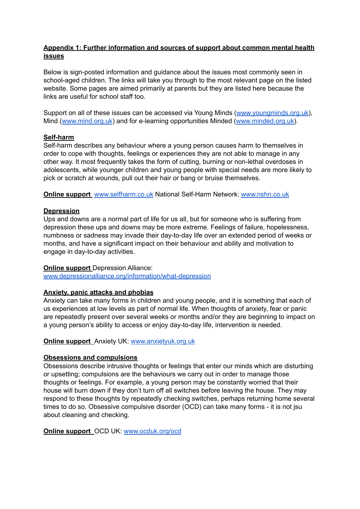## **Appendix 1: Further information and sources of support about common mental health issues**

Below is sign-posted information and guidance about the issues most commonly seen in school-aged children. The links will take you through to the most relevant page on the listed website. Some pages are aimed primarily at parents but they are listed here because the links are useful for school staff too.

Support on all of these issues can be accessed via Young Minds ([www.youngminds.org.uk\)](http://www.youngminds.org.uk), Mind ([www.mind.org.uk](http://www.mind.org.uk)) and for e-learning opportunities Minded ([www.minded.org.uk\)](http://www.minded.org.uk).

## **Self-harm**

Self-harm describes any behaviour where a young person causes harm to themselves in order to cope with thoughts, feelings or experiences they are not able to manage in any other way. It most frequently takes the form of cutting, burning or non-lethal overdoses in adolescents, while younger children and young people with special needs are more likely to pick or scratch at wounds, pull out their hair or bang or bruise themselves.

**Online support** [www.selfharm.co.uk](http://www.selfharm.co.uk) National Self-Harm Network: [www.nshn.co.uk](http://www.nshn.co.uk)

#### **Depression**

Ups and downs are a normal part of life for us all, but for someone who is suffering from depression these ups and downs may be more extreme. Feelings of failure, hopelessness, numbness or sadness may invade their day-to-day life over an extended period of weeks or months, and have a significant impact on their behaviour and ability and motivation to engage in day-to-day activities.

#### **Online support** Depression Alliance:

[www.depressionalliance.org/information/what-depression](http://www.depressionalliance.org/information/what-depression)

#### **Anxiety, panic attacks and phobias**

Anxiety can take many forms in children and young people, and it is something that each of us experiences at low levels as part of normal life. When thoughts of anxiety, fear or panic are repeatedly present over several weeks or months and/or they are beginning to impact on a young person's ability to access or enjoy day-to-day life, intervention is needed.

#### **Online support** Anxiety UK: [www.anxietyuk.org.uk](http://www.anxietyuk.org.uk)

#### **Obsessions and compulsions**

Obsessions describe intrusive thoughts or feelings that enter our minds which are disturbing or upsetting; compulsions are the behaviours we carry out in order to manage those thoughts or feelings. For example, a young person may be constantly worried that their house will burn down if they don't turn off all switches before leaving the house. They may respond to these thoughts by repeatedly checking switches, perhaps returning home several times to do so. Obsessive compulsive disorder (OCD) can take many forms - it is not jsu about cleaning and checking.

**Online support** OCD UK: [www.ocduk.org/ocd](http://www.ocduk.org/ocd)